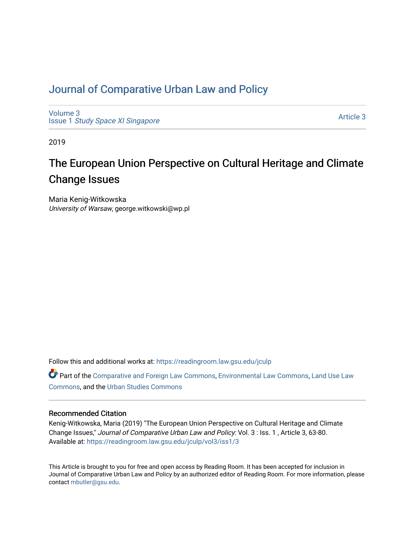# [Journal of Comparative Urban Law and Policy](https://readingroom.law.gsu.edu/jculp)

[Volume 3](https://readingroom.law.gsu.edu/jculp/vol3) Issue 1 [Study Space XI Singapore](https://readingroom.law.gsu.edu/jculp/vol3/iss1)

[Article 3](https://readingroom.law.gsu.edu/jculp/vol3/iss1/3) 

2019

# The European Union Perspective on Cultural Heritage and Climate Change Issues

Maria Kenig-Witkowska University of Warsaw, george.witkowski@wp.pl

Follow this and additional works at: [https://readingroom.law.gsu.edu/jculp](https://readingroom.law.gsu.edu/jculp?utm_source=readingroom.law.gsu.edu%2Fjculp%2Fvol3%2Fiss1%2F3&utm_medium=PDF&utm_campaign=PDFCoverPages) 

Part of the [Comparative and Foreign Law Commons,](http://network.bepress.com/hgg/discipline/836?utm_source=readingroom.law.gsu.edu%2Fjculp%2Fvol3%2Fiss1%2F3&utm_medium=PDF&utm_campaign=PDFCoverPages) [Environmental Law Commons](http://network.bepress.com/hgg/discipline/599?utm_source=readingroom.law.gsu.edu%2Fjculp%2Fvol3%2Fiss1%2F3&utm_medium=PDF&utm_campaign=PDFCoverPages), Land Use Law [Commons](http://network.bepress.com/hgg/discipline/852?utm_source=readingroom.law.gsu.edu%2Fjculp%2Fvol3%2Fiss1%2F3&utm_medium=PDF&utm_campaign=PDFCoverPages), and the [Urban Studies Commons](http://network.bepress.com/hgg/discipline/402?utm_source=readingroom.law.gsu.edu%2Fjculp%2Fvol3%2Fiss1%2F3&utm_medium=PDF&utm_campaign=PDFCoverPages) 

#### Recommended Citation

Kenig-Witkowska, Maria (2019) "The European Union Perspective on Cultural Heritage and Climate Change Issues," Journal of Comparative Urban Law and Policy: Vol. 3 : Iss. 1 , Article 3, 63-80. Available at: [https://readingroom.law.gsu.edu/jculp/vol3/iss1/3](https://readingroom.law.gsu.edu/jculp/vol3/iss1/3?utm_source=readingroom.law.gsu.edu%2Fjculp%2Fvol3%2Fiss1%2F3&utm_medium=PDF&utm_campaign=PDFCoverPages) 

This Article is brought to you for free and open access by Reading Room. It has been accepted for inclusion in Journal of Comparative Urban Law and Policy by an authorized editor of Reading Room. For more information, please contact [mbutler@gsu.edu](mailto:mbutler@gsu.edu).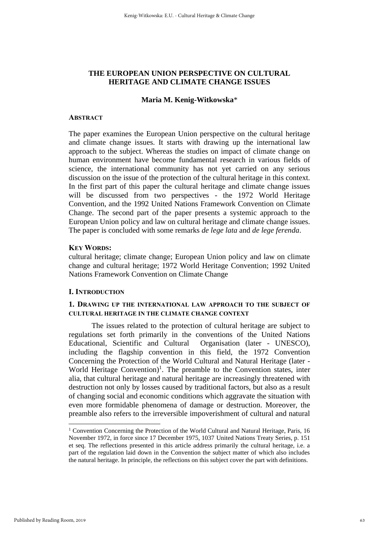# **THE EUROPEAN UNION PERSPECTIVE ON CULTURAL HERITAGE AND CLIMATE CHANGE ISSUES**

#### **Maria M. Kenig-Witkowska**\*

## **ABSTRACT**

The paper examines the European Union perspective on the cultural heritage and climate change issues. It starts with drawing up the international law approach to the subject. Whereas the studies on impact of climate change on human environment have become fundamental research in various fields of science, the international community has not yet carried on any serious discussion on the issue of the protection of the cultural heritage in this context. In the first part of this paper the cultural heritage and climate change issues will be discussed from two perspectives - the 1972 World Heritage Convention, and the 1992 United Nations Framework Convention on Climate Change. The second part of the paper presents a systemic approach to the European Union policy and law on cultural heritage and climate change issues. The paper is concluded with some remarks *de lege lata* and *de lege ferenda*.

## **KEY WORDS:**

cultural heritage; climate change; European Union policy and law on climate change and cultural heritage; 1972 World Heritage Convention; 1992 United Nations Framework Convention on Climate Change

# **I. INTRODUCTION**

# **1. DRAWING UP THE INTERNATIONAL LAW APPROACH TO THE SUBJECT OF CULTURAL HERITAGE IN THE CLIMATE CHANGE CONTEXT**

The issues related to the protection of cultural heritage are subject to regulations set forth primarily in the conventions of the United Nations Educational, Scientific and Cultural Organisation (later - UNESCO), including the flagship convention in this field, the 1972 Convention Concerning the Protection of the World Cultural and Natural Heritage (later - World Heritage Convention)<sup>1</sup>. The preamble to the Convention states, inter alia, that cultural heritage and natural heritage are increasingly threatened with destruction not only by losses caused by traditional factors, but also as a result of changing social and economic conditions which aggravate the situation with even more formidable phenomena of damage or destruction. Moreover, the preamble also refers to the irreversible impoverishment of cultural and natural

<sup>&</sup>lt;sup>1</sup> Convention Concerning the Protection of the World Cultural and Natural Heritage, Paris, 16 November 1972, in force since 17 December 1975, 1037 United Nations Treaty Series, p. 151 et seq. The reflections presented in this article address primarily the cultural heritage, i.e. a part of the regulation laid down in the Convention the subject matter of which also includes the natural heritage. In principle, the reflections on this subject cover the part with definitions.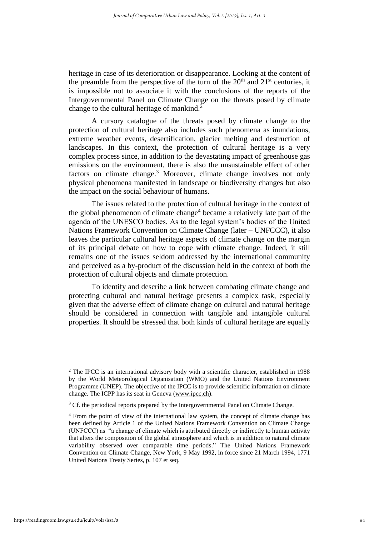heritage in case of its deterioration or disappearance. Looking at the content of the preamble from the perspective of the turn of the  $20<sup>th</sup>$  and  $21<sup>st</sup>$  centuries, it is impossible not to associate it with the conclusions of the reports of the Intergovernmental Panel on Climate Change on the threats posed by climate change to the cultural heritage of mankind.<sup>2</sup>

A cursory catalogue of the threats posed by climate change to the protection of cultural heritage also includes such phenomena as inundations, extreme weather events, desertification, glacier melting and destruction of landscapes. In this context, the protection of cultural heritage is a very complex process since, in addition to the devastating impact of greenhouse gas emissions on the environment, there is also the unsustainable effect of other factors on climate change.<sup>3</sup> Moreover, climate change involves not only physical phenomena manifested in landscape or biodiversity changes but also the impact on the social behaviour of humans.

The issues related to the protection of cultural heritage in the context of the global phenomenon of climate change<sup>4</sup> became a relatively late part of the agenda of the UNESCO bodies. As to the legal system's bodies of the United Nations Framework Convention on Climate Change (later – UNFCCC), it also leaves the particular cultural heritage aspects of climate change on the margin of its principal debate on how to cope with climate change. Indeed, it still remains one of the issues seldom addressed by the international community and perceived as a by-product of the discussion held in the context of both the protection of cultural objects and climate protection.

To identify and describe a link between combating climate change and protecting cultural and natural heritage presents a complex task, especially given that the adverse effect of climate change on cultural and natural heritage should be considered in connection with tangible and intangible cultural properties. It should be stressed that both kinds of cultural heritage are equally

<sup>&</sup>lt;sup>2</sup> The IPCC is an international advisory body with a scientific character, established in 1988 by the World Meteorological Organisation (WMO) and the United Nations Environment Programme (UNEP). The objective of the IPCC is to provide scientific information on climate change. The ICPP has its seat in Geneva [\(www.ipcc.ch\)](http://www.ipcc.ch/).

<sup>&</sup>lt;sup>3</sup> Cf. the periodical reports prepared by the Intergovernmental Panel on Climate Change.

<sup>4</sup> From the point of view of the international law system, the concept of climate change has been defined by Article 1 of the United Nations Framework Convention on Climate Change (UNFCCC) as "a change of climate which is attributed directly or indirectly to human activity that alters the composition of the global atmosphere and which is in addition to natural climate variability observed over comparable time periods." The United Nations Framework Convention on Climate Change, New York, 9 May 1992, in force since 21 March 1994, 1771 United Nations Treaty Series, p. 107 et seq.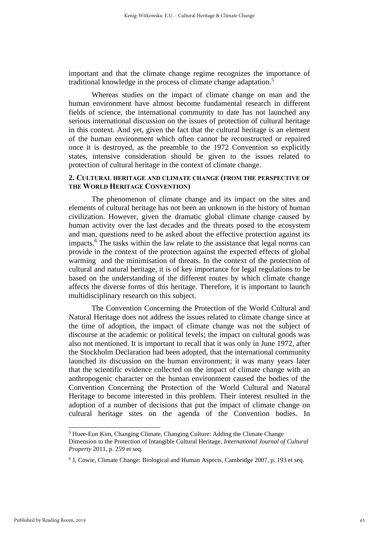important and that the climate change regime recognizes the importance of traditional knowledge in the process of climate change adaptation. 5

Whereas studies on the impact of climate change on man and the human environment have almost become fundamental research in different fields of science, the international community to date has not launched any serious international discussion on the issues of protection of cultural heritage in this context. And yet, given the fact that the cultural heritage is an element of the human environment which often cannot be reconstructed or repaired once it is destroyed, as the preamble to the 1972 Convention so explicitly states, intensive consideration should be given to the issues related to protection of cultural heritage in the context of climate change.

# **2. CULTURAL HERITAGE AND CLIMATE CHANGE (FROM THE PERSPECTIVE OF THE WORLD HERITAGE CONVENTION)**

The phenomenon of climate change and its impact on the sites and elements of cultural heritage has not been an unknown in the history of human civilization. However, given the dramatic global climate change caused by human activity over the last decades and the threats posed to the ecosystem and man, questions need to be asked about the effective protection against its impacts. <sup>6</sup> The tasks within the law relate to the assistance that legal norms can provide in the context of the protection against the expected effects of global warming and the minimisation of threats. In the context of the protection of cultural and natural heritage, it is of key importance for legal regulations to be based on the understanding of the different routes by which climate change affects the diverse forms of this heritage. Therefore, it is important to launch multidisciplinary research on this subject.

The Convention Concerning the Protection of the World Cultural and Natural Heritage does not address the issues related to climate change since at the time of adoption, the impact of climate change was not the subject of discourse at the academic or political levels; the impact on cultural goods was also not mentioned. It is important to recall that it was only in June 1972, after the Stockholm Declaration had been adopted, that the international community launched its discussion on the human environment; it was many years later that the scientific evidence collected on the impact of climate change with an anthropogenic character on the human environment caused the bodies of the Convention Concerning the Protection of the World Cultural and Natural Heritage to become interested in this problem. Their interest resulted in the adoption of a number of decisions that put the impact of climate change on cultural heritage sites on the agenda of the Convention bodies. In

<sup>5</sup> Huee-Eun Kim, Changing Climate, Changing Culture: Adding the Climate Change Dimension to the Protection of Intangible Cultural Heritage, *International Journal of Cultural Property* 2011, p. 259 et seq.

<sup>6</sup> J, Cowie, Climate Change: Biological and Human Aspects, Cambridge 2007, p. 193 et seq.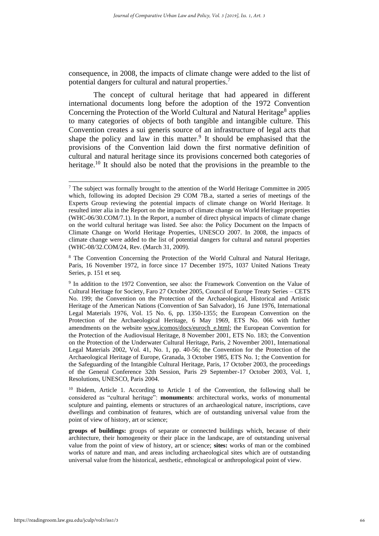consequence, in 2008, the impacts of climate change were added to the list of potential dangers for cultural and natural properties.<sup>7</sup>

The concept of cultural heritage that had appeared in different international documents long before the adoption of the 1972 Convention Concerning the Protection of the World Cultural and Natural Heritage<sup>8</sup> applies to many categories of objects of both tangible and intangible culture. This Convention creates a sui generis source of an infrastructure of legal acts that shape the policy and law in this matter.<sup>9</sup> It should be emphasised that the provisions of the Convention laid down the first normative definition of cultural and natural heritage since its provisions concerned both categories of heritage.<sup>10</sup> It should also be noted that the provisions in the preamble to the

<sup>7</sup> The subject was formally brought to the attention of the World Heritage Committee in 2005 which, following its adopted Decision 29 COM 7B.a, started a series of meetings of the Experts Group reviewing the potential impacts of climate change on World Heritage. It resulted inter alia in the Report on the impacts of climate change on World Heritage properties (WHC-06/30.COM/7.1). In the Report, a number of direct physical impacts of climate change on the world cultural heritage was listed. See also: the Policy Document on the Impacts of Climate Change on World Heritage Properties, UNESCO 2007. In 2008, the impacts of climate change were added to the list of potential dangers for cultural and natural properties (WHC-08/32.COM/24, Rev. (March 31, 2009).

<sup>&</sup>lt;sup>8</sup> The Convention Concerning the Protection of the World Cultural and Natural Heritage, Paris, 16 November 1972, in force since 17 December 1975, 1037 United Nations Treaty Series, p. 151 et seq.

<sup>&</sup>lt;sup>9</sup> In addition to the 1972 Convention, see also: the Framework Convention on the Value of Cultural Heritage for Society, Faro 27 October 2005, Council of Europe Treaty Series – CETS No. 199; the Convention on the Protection of the Archaeological, Historical and Artistic Heritage of the American Nations (Convention of San Salvador), 16 June 1976, International Legal Materials 1976, Vol. 15 No. 6, pp. 1350-1355; the European Convention on the Protection of the Archaeological Heritage, 6 May 1969, ETS No. 066 with further amendments on the website [www.icomos/docs/euroch\\_e.html;](http://www.icomos/docs/euroch_e.html) the European Convention for the Protection of the Audiovisual Heritage, 8 November 2001, ETS No. 183; the Convention on the Protection of the Underwater Cultural Heritage, Paris, 2 November 2001, International Legal Materials 2002, Vol. 41, No. 1, pp. 40-56; the Convention for the Protection of the Archaeological Heritage of Europe, Granada, 3 October 1985, ETS No. 1; the Convention for the Safeguarding of the Intangible Cultural Heritage, Paris, 17 October 2003, the proceedings of the General Conference 32th Session, Paris 29 September-17 October 2003, Vol. 1, Resolutions, UNESCO, Paris 2004.

<sup>&</sup>lt;sup>10</sup> Ibidem, Article 1. According to Article 1 of the Convention, the following shall be considered as "cultural heritage": **monuments**: architectural works, works of monumental sculpture and painting, elements or structures of an archaeological nature, inscriptions, cave dwellings and combination of features, which are of outstanding universal value from the point of view of history, art or science;

**groups of buildings:** groups of separate or connected buildings which, because of their architecture, their homogeneity or their place in the landscape, are of outstanding universal value from the point of view of history, art or science; **sites:** works of man or the combined works of nature and man, and areas including archaeological sites which are of outstanding universal value from the historical, aesthetic, ethnological or anthropological point of view.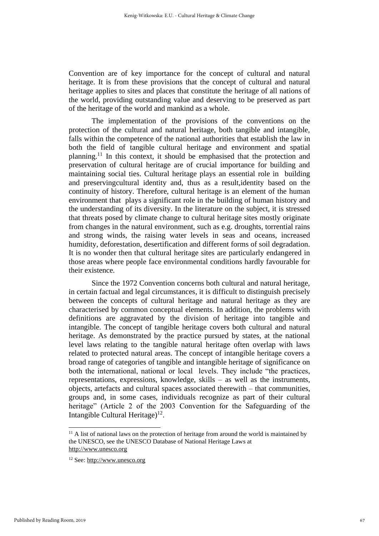Convention are of key importance for the concept of cultural and natural heritage. It is from these provisions that the concept of cultural and natural heritage applies to sites and places that constitute the heritage of all nations of the world, providing outstanding value and deserving to be preserved as part of the heritage of the world and mankind as a whole.

The implementation of the provisions of the conventions on the protection of the cultural and natural heritage, both tangible and intangible, falls within the competence of the national authorities that establish the law in both the field of tangible cultural heritage and environment and spatial planning. <sup>11</sup> In this context, it should be emphasised that the protection and preservation of cultural heritage are of crucial importance for building and maintaining social ties. Cultural heritage plays an essential role in building and preservingcultural identity and, thus as a result,identity based on the continuity of history. Therefore, cultural heritage is an element of the human environment that plays a significant role in the building of human history and the understanding of its diversity. In the literature on the subject, it is stressed that threats posed by climate change to cultural heritage sites mostly originate from changes in the natural environment, such as e.g. droughts, torrential rains and strong winds, the raising water levels in seas and oceans, increased humidity, deforestation, desertification and different forms of soil degradation. It is no wonder then that cultural heritage sites are particularly endangered in those areas where people face environmental conditions hardly favourable for their existence.

Since the 1972 Convention concerns both cultural and natural heritage, in certain factual and legal circumstances, it is difficult to distinguish precisely between the concepts of cultural heritage and natural heritage as they are characterised by common conceptual elements. In addition, the problems with definitions are aggravated by the division of heritage into tangible and intangible. The concept of tangible heritage covers both cultural and natural heritage. As demonstrated by the practice pursued by states, at the national level laws relating to the tangible natural heritage often overlap with laws related to protected natural areas. The concept of intangible heritage covers a broad range of categories of tangible and intangible heritage of significance on both the international, national or local levels. They include "the practices, representations, expressions, knowledge, skills – as well as the instruments, objects, artefacts and cultural spaces associated therewith – that communities, groups and, in some cases, individuals recognize as part of their cultural heritage" (Article 2 of the 2003 Convention for the Safeguarding of the Intangible Cultural Heritage) 12 .

 $11$  A list of national laws on the protection of heritage from around the world is maintained by the UNESCO, see the UNESCO Database of National Heritage Laws at [http://www.unesco.org](http://www.unesco.org/) 

<sup>12</sup> See[: http://www.unesco.org](http://www.unesco.org/)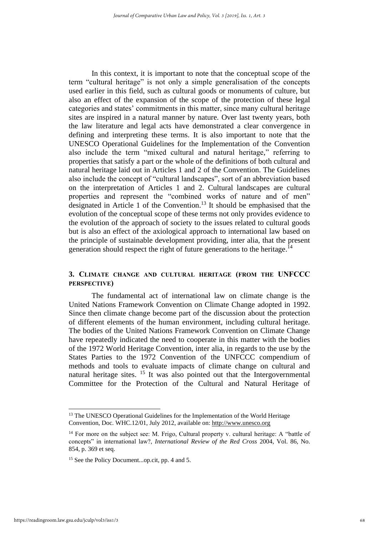In this context, it is important to note that the conceptual scope of the term "cultural heritage" is not only a simple generalisation of the concepts used earlier in this field, such as cultural goods or monuments of culture, but also an effect of the expansion of the scope of the protection of these legal categories and states' commitments in this matter, since many cultural heritage sites are inspired in a natural manner by nature. Over last twenty years, both the law literature and legal acts have demonstrated a clear convergence in defining and interpreting these terms. It is also important to note that the UNESCO Operational Guidelines for the Implementation of the Convention also include the term "mixed cultural and natural heritage," referring to properties that satisfy a part or the whole of the definitions of both cultural and natural heritage laid out in Articles 1 and 2 of the Convention. The Guidelines also include the concept of "cultural landscapes", sort of an abbreviation based on the interpretation of Articles 1 and 2. Cultural landscapes are cultural properties and represent the "combined works of nature and of men" designated in Article 1 of the Convention. <sup>13</sup> It should be emphasised that the evolution of the conceptual scope of these terms not only provides evidence to the evolution of the approach of society to the issues related to cultural goods but is also an effect of the axiological approach to international law based on the principle of sustainable development providing, inter alia, that the present generation should respect the right of future generations to the heritage.<sup>14</sup>

# **3. CLIMATE CHANGE AND CULTURAL HERITAGE (FROM THE UNFCCC PERSPECTIVE)**

The fundamental act of international law on climate change is the United Nations Framework Convention on Climate Change adopted in 1992. Since then climate change become part of the discussion about the protection of different elements of the human environment, including cultural heritage. The bodies of the United Nations Framework Convention on Climate Change have repeatedly indicated the need to cooperate in this matter with the bodies of the 1972 World Heritage Convention, inter alia, in regards to the use by the States Parties to the 1972 Convention of the UNFCCC compendium of methods and tools to evaluate impacts of climate change on cultural and natural heritage sites. <sup>15</sup> It was also pointed out that the Intergovernmental Committee for the Protection of the Cultural and Natural Heritage of

<sup>&</sup>lt;sup>13</sup> The UNESCO Operational Guidelines for the Implementation of the World Heritage Convention, Doc. WHC.12/01, July 2012, available on: [http://www.unesco.org](http://www.unesco.org/)

<sup>&</sup>lt;sup>14</sup> For more on the subject see: M. Frigo, Cultural property v. cultural heritage: A "battle of concepts" in international law?, *International Review of the Red Cross* 2004, Vol. 86, No. 854, p. 369 et seq.

<sup>15</sup> See the Policy Document...op.cit, pp. 4 and 5.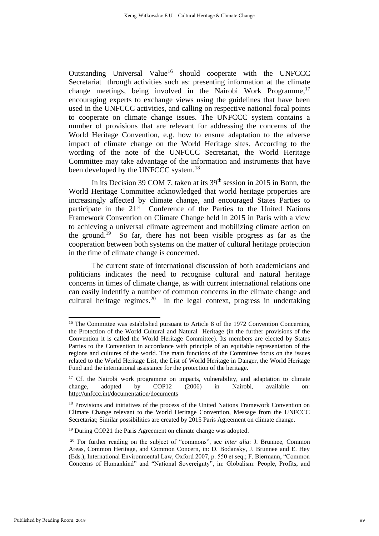Outstanding Universal Value<sup>16</sup> should cooperate with the UNFCCC Secretariat through activities such as: presenting information at the climate change meetings, being involved in the Nairobi Work Programme,<sup>17</sup> encouraging experts to exchange views using the guidelines that have been used in the UNFCCC activities, and calling on respective national focal points to cooperate on climate change issues. The UNFCCC system contains a number of provisions that are relevant for addressing the concerns of the World Heritage Convention, e.g. how to ensure adaptation to the adverse impact of climate change on the World Heritage sites. According to the wording of the note of the UNFCCC Secretariat, the World Heritage Committee may take advantage of the information and instruments that have been developed by the UNFCCC system.<sup>18</sup>

In its Decision 39 COM 7, taken at its 39<sup>th</sup> session in 2015 in Bonn, the World Heritage Committee acknowledged that world heritage properties are increasingly affected by climate change, and encouraged States Parties to participate in the 21<sup>st</sup> Conference of the Parties to the United Nations Framework Convention on Climate Change held in 2015 in Paris with a view to achieving a universal climate agreement and mobilizing climate action on the ground. 19 So far, there has not been visible progress as far as the cooperation between both systems on the matter of cultural heritage protection in the time of climate change is concerned.

The current state of international discussion of both academicians and politicians indicates the need to recognise cultural and natural heritage concerns in times of climate change, as with current international relations one can easily indentify a number of common concerns in the climate change and cultural heritage regimes.<sup>20</sup> In the legal context, progress in undertaking

<sup>&</sup>lt;sup>16</sup> The Committee was established pursuant to Article 8 of the 1972 Convention Concerning the Protection of the World Cultural and Natural Heritage (in the further provisions of the Convention it is called the World Heritage Committee). Its members are elected by States Parties to the Convention in accordance with principle of an equitable representation of the regions and cultures of the world. The main functions of the Committee focus on the issues related to the World Heritage List, the List of World Heritage in Danger, the World Heritage Fund and the international assistance for the protection of the heritage.

<sup>&</sup>lt;sup>17</sup> Cf. the Nairobi work programme on impacts, vulnerability, and adaptation to climate change, adopted by COP12 (2006) in Nairobi, available on: <http://unfccc.int/documentation/documents>

<sup>&</sup>lt;sup>18</sup> Provisions and initiatives of the process of the United Nations Framework Convention on Climate Change relevant to the World Heritage Convention, Message from the UNFCCC Secretariat; Similar possibilities are created by 2015 Paris Agreement on climate change.

<sup>&</sup>lt;sup>19</sup> During COP21 the Paris Agreement on climate change was adopted.

<sup>20</sup> For further reading on the subject of "commons", see *inter alia*: J. Brunnee, Common Areas, Common Heritage, and Common Concern, in: D. Bodansky, J. Brunnee and E. Hey (Eds.), International Environmental Law, Oxford 2007, p. 550 et seq.; F. Biermann, "Common Concerns of Humankind" and "National Sovereignty", in: Globalism: People, Profits, and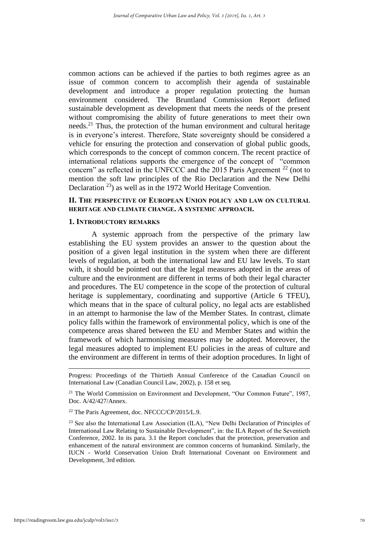common actions can be achieved if the parties to both regimes agree as an issue of common concern to accomplish their agenda of sustainable development and introduce a proper regulation protecting the human environment considered. The Bruntland Commission Report defined sustainable development as development that meets the needs of the present without compromising the ability of future generations to meet their own needs.<sup>21</sup> Thus, the protection of the human environment and cultural heritage is in everyone's interest. Therefore, State sovereignty should be considered a vehicle for ensuring the protection and conservation of global public goods, which corresponds to the concept of common concern. The recent practice of international relations supports the emergence of the concept of "common concern" as reflected in the UNFCCC and the 2015 Paris Agreement <sup>22</sup> (not to mention the soft law principles of the Rio Declaration and the New Delhi Declaration <sup>23</sup>) as well as in the 1972 World Heritage Convention.

# **II. THE PERSPECTIVE OF EUROPEAN UNION POLICY AND LAW ON CULTURAL HERITAGE AND CLIMATE CHANGE. A SYSTEMIC APPROACH.**

#### **1. INTRODUCTORY REMARKS**

A systemic approach from the perspective of the primary law establishing the EU system provides an answer to the question about the position of a given legal institution in the system when there are different levels of regulation, at both the international law and EU law levels. To start with, it should be pointed out that the legal measures adopted in the areas of culture and the environment are different in terms of both their legal character and procedures. The EU competence in the scope of the protection of cultural heritage is supplementary, coordinating and supportive (Article 6 TFEU), which means that in the space of cultural policy, no legal acts are established in an attempt to harmonise the law of the Member States. In contrast, climate policy falls within the framework of environmental policy, which is one of the competence areas shared between the EU and Member States and within the framework of which harmonising measures may be adopted. Moreover, the legal measures adopted to implement EU policies in the areas of culture and the environment are different in terms of their adoption procedures. In light of

Progress: Proceedings of the Thirtieth Annual Conference of the Canadian Council on International Law (Canadian Council Law, 2002), p. 158 et seq.

<sup>&</sup>lt;sup>21</sup> The World Commission on Environment and Development, "Our Common Future", 1987, Doc. A/42/427/Annex.

<sup>22</sup> The Paris Agreement, doc. NFCCC/CP/2015/L.9.

<sup>&</sup>lt;sup>23</sup> See also the International Law Association (ILA), "New Delhi Declaration of Principles of International Law Relating to Sustainable Development", in: the ILA Report of the Seventieth Conference, 2002. In its para. 3.1 the Report concludes that the protection, preservation and enhancement of the natural environment are common concerns of humankind. Similarly, the IUCN - World Conservation Union Draft International Covenant on Environment and Development, 3rd edition.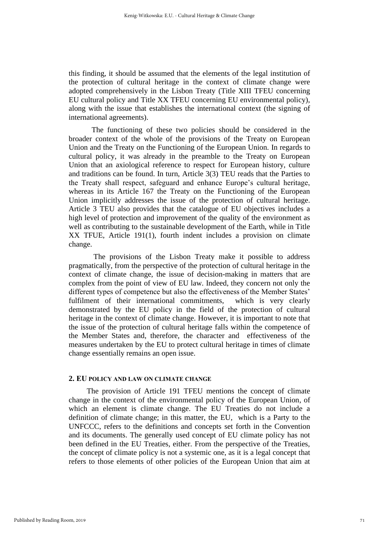this finding, it should be assumed that the elements of the legal institution of the protection of cultural heritage in the context of climate change were adopted comprehensively in the Lisbon Treaty (Title XIII TFEU concerning EU cultural policy and Title XX TFEU concerning EU environmental policy), along with the issue that establishes the international context (the signing of international agreements).

The functioning of these two policies should be considered in the broader context of the whole of the provisions of the Treaty on European Union and the Treaty on the Functioning of the European Union. In regards to cultural policy, it was already in the preamble to the Treaty on European Union that an axiological reference to respect for European history, culture and traditions can be found. In turn, Article 3(3) TEU reads that the Parties to the Treaty shall respect, safeguard and enhance Europe's cultural heritage, whereas in its Article 167 the Treaty on the Functioning of the European Union implicitly addresses the issue of the protection of cultural heritage. Article 3 TEU also provides that the catalogue of EU objectives includes a high level of protection and improvement of the quality of the environment as well as contributing to the sustainable development of the Earth, while in Title XX TFUE, Article 191(1), fourth indent includes a provision on climate change.

The provisions of the Lisbon Treaty make it possible to address pragmatically, from the perspective of the protection of cultural heritage in the context of climate change, the issue of decision-making in matters that are complex from the point of view of EU law. Indeed, they concern not only the different types of competence but also the effectiveness of the Member States' fulfilment of their international commitments, which is very clearly demonstrated by the EU policy in the field of the protection of cultural heritage in the context of climate change. However, it is important to note that the issue of the protection of cultural heritage falls within the competence of the Member States and, therefore, the character and effectiveness of the measures undertaken by the EU to protect cultural heritage in times of climate change essentially remains an open issue.

#### **2. EU POLICY AND LAW ON CLIMATE CHANGE**

The provision of Article 191 TFEU mentions the concept of climate change in the context of the environmental policy of the European Union, of which an element is climate change. The EU Treaties do not include a definition of climate change; in this matter, the EU, which is a Party to the UNFCCC, refers to the definitions and concepts set forth in the Convention and its documents. The generally used concept of EU climate policy has not been defined in the EU Treaties, either. From the perspective of the Treaties, the concept of climate policy is not a systemic one, as it is a legal concept that refers to those elements of other policies of the European Union that aim at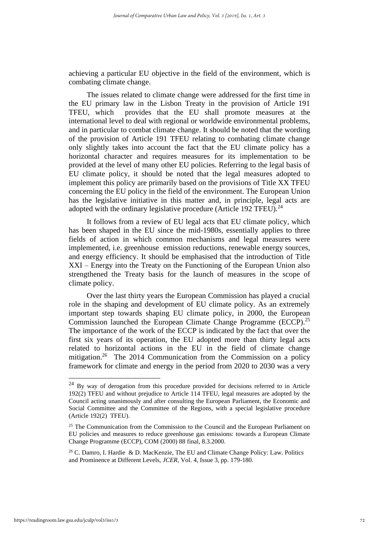achieving a particular EU objective in the field of the environment, which is combating climate change.

The issues related to climate change were addressed for the first time in the EU primary law in the Lisbon Treaty in the provision of Article 191 TFEU, which provides that the EU shall promote measures at the international level to deal with regional or worldwide environmental problems, and in particular to combat climate change. It should be noted that the wording of the provision of Article 191 TFEU relating to combating climate change only slightly takes into account the fact that the EU climate policy has a horizontal character and requires measures for its implementation to be provided at the level of many other EU policies. Referring to the legal basis of EU climate policy, it should be noted that the legal measures adopted to implement this policy are primarily based on the provisions of Title XX TFEU concerning the EU policy in the field of the environment. The European Union has the legislative initiative in this matter and, in principle, legal acts are adopted with the ordinary legislative procedure (Article 192 TFEU). $^{24}$ 

It follows from a review of EU legal acts that EU climate policy, which has been shaped in the EU since the mid-1980s, essentially applies to three fields of action in which common mechanisms and legal measures were implemented, i.e. greenhouse emission reductions, renewable energy sources, and energy efficiency. It should be emphasised that the introduction of Title XXI – Energy into the Treaty on the Functioning of the European Union also strengthened the Treaty basis for the launch of measures in the scope of climate policy.

Over the last thirty years the European Commission has played a crucial role in the shaping and development of EU climate policy. As an extremely important step towards shaping EU climate policy, in 2000, the European Commission launched the European Climate Change Programme (ECCP).<sup>25</sup> The importance of the work of the ECCP is indicated by the fact that over the first six years of its operation, the EU adopted more than thirty legal acts related to horizontal actions in the EU in the field of climate change mitigation.<sup>26</sup> The 2014 Communication from the Commission on a policy framework for climate and energy in the period from 2020 to 2030 was a very

<sup>24</sup> By way of derogation from this procedure provided for decisions referred to in Article 192(2) TFEU and without prejudice to Article 114 TFEU, legal measures are adopted by the Council acting unanimously and after consulting the European Parliament, the Economic and Social Committee and the Committee of the Regions, with a special legislative procedure (Article 192(2) TFEU).

<sup>&</sup>lt;sup>25</sup> The Communication from the Commission to the Council and the European Parliament on EU policies and measures to reduce greenhouse gas emissions: towards a European Climate Change Programme (ECCP), COM (2000) 88 final, 8.3.2000.

<sup>26</sup> C. Damro, I. Hardie & D. MacKenzie, The EU and Climate Change Policy: Law. Politics and Prominence at Different Levels, *JCER,* Vol. 4, Issue 3, pp. 179-180.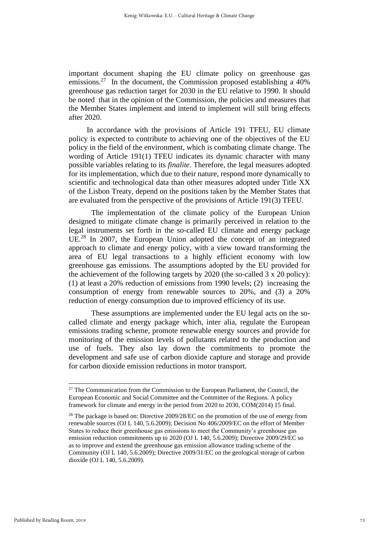important document shaping the EU climate policy on greenhouse gas emissions.<sup>27</sup> In the document, the Commission proposed establishing a 40% greenhouse gas reduction target for 2030 in the EU relative to 1990. It should be noted that in the opinion of the Commission, the policies and measures that the Member States implement and intend to implement will still bring effects after 2020.

In accordance with the provisions of Article 191 TFEU, EU climate policy is expected to contribute to achieving one of the objectives of the EU policy in the field of the environment, which is combating climate change. The wording of Article 191(1) TFEU indicates its dynamic character with many possible variables relating to its *finalite*. Therefore, the legal measures adopted for its implementation, which due to their nature, respond more dynamically to scientific and technological data than other measures adopted under Title XX of the Lisbon Treaty, depend on the positions taken by the Member States that are evaluated from the perspective of the provisions of Article 191(3) TFEU.

The implementation of the climate policy of the European Union designed to mitigate climate change is primarily perceived in relation to the legal instruments set forth in the so-called EU climate and energy package UE. <sup>28</sup> In 2007, the European Union adopted the concept of an integrated approach to climate and energy policy, with a view toward transforming the area of EU legal transactions to a highly efficient economy with low greenhouse gas emissions. The assumptions adopted by the EU provided for the achievement of the following targets by 2020 (the so-called 3 x 20 policy): (1) at least a 20% reduction of emissions from 1990 levels; (2) increasing the consumption of energy from renewable sources to 20%, and (3) a 20% reduction of energy consumption due to improved efficiency of its use.

These assumptions are implemented under the EU legal acts on the socalled climate and energy package which, inter alia, regulate the European emissions trading scheme, promote renewable energy sources and provide for monitoring of the emission levels of pollutants related to the production and use of fuels. They also lay down the commitments to promote the development and safe use of carbon dioxide capture and storage and provide for carbon dioxide emission reductions in motor transport.

<sup>&</sup>lt;sup>27</sup> The Communication from the Commission to the European Parliament, the Council, the European Economic and Social Committee and the Committee of the Regions. A policy framework for climate and energy in the period from 2020 to 2030, COM(2014) 15 final.

<sup>&</sup>lt;sup>28</sup> The package is based on: Directive  $2009/28/EC$  on the promotion of the use of energy from renewable sources (OJ L 140, 5.6.2009); Decision No 406/2009/EC on the effort of Member States to reduce their greenhouse gas emissions to meet the Community's greenhouse gas emission reduction commitments up to 2020 (OJ L 140, 5.6.2009); Directive 2009/29/EC so as to improve and extend the greenhouse gas emission allowance trading scheme of the Community (OJ L 140, 5.6.2009); Directive 2009/31/EC on the geological storage of carbon dioxide (OJ L 140, 5.6.2009).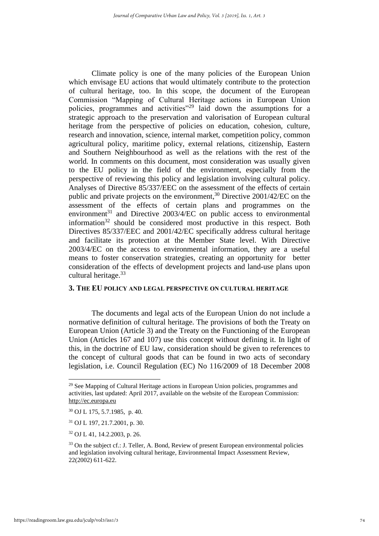Climate policy is one of the many policies of the European Union which envisage EU actions that would ultimately contribute to the protection of cultural heritage, too. In this scope, the document of the European Commission "Mapping of Cultural Heritage actions in European Union policies, programmes and activities"<sup>29</sup> laid down the assumptions for a strategic approach to the preservation and valorisation of European cultural heritage from the perspective of policies on education, cohesion, culture, research and innovation, science, internal market, competition policy, common agricultural policy, maritime policy, external relations, citizenship, Eastern and Southern Neighbourhood as well as the relations with the rest of the world. In comments on this document, most consideration was usually given to the EU policy in the field of the environment, especially from the perspective of reviewing this policy and legislation involving cultural policy. Analyses of Directive 85/337/EEC on the assessment of the effects of certain public and private projects on the environment,<sup>30</sup> Directive 2001/42/EC on the assessment of the effects of certain plans and programmes on the environment $31$  and Directive 2003/4/EC on public access to environmental information $32$  should be considered most productive in this respect. Both Directives 85/337/EEC and 2001/42/EC specifically address cultural heritage and facilitate its protection at the Member State level. With Directive 2003/4/EC on the access to environmental information, they are a useful means to foster conservation strategies, creating an opportunity for better consideration of the effects of development projects and land-use plans upon cultural heritage. 33

#### **3. THE EU POLICY AND LEGAL PERSPECTIVE ON CULTURAL HERITAGE**

The documents and legal acts of the European Union do not include a normative definition of cultural heritage. The provisions of both the Treaty on European Union (Article 3) and the Treaty on the Functioning of the European Union (Articles 167 and 107) use this concept without defining it. In light of this, in the doctrine of EU law, consideration should be given to references to the concept of cultural goods that can be found in two acts of secondary legislation, i.e. Council Regulation (EC) No 116/2009 of 18 December 2008

<sup>&</sup>lt;sup>29</sup> See Mapping of Cultural Heritage actions in European Union policies, programmes and activities, last updated: April 2017, available on the website of the European Commission: [http://ec.europa.eu](http://ec.europa.eu/) 

<sup>30</sup> OJ L 175, 5.7.1985, p. 40.

<sup>31</sup> OJ L 197, 21.7.2001, p. 30.

<sup>32</sup> OJ L 41, 14.2.2003, p. 26.

<sup>&</sup>lt;sup>33</sup> On the subject cf.: J. Teller, A. Bond, Review of present European environmental policies and legislation involving cultural heritage, Environmental Impact Assessment Review, 22(2002) 611-622.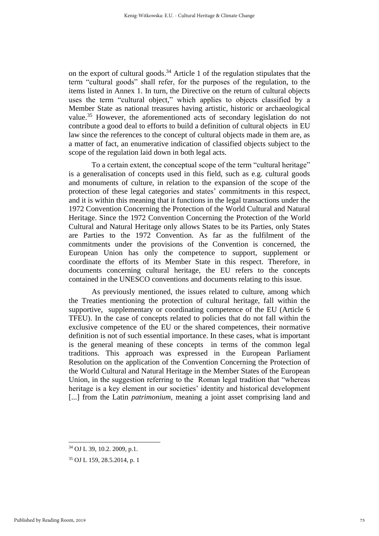on the export of cultural goods. <sup>34</sup> Article 1 of the regulation stipulates that the term "cultural goods" shall refer, for the purposes of the regulation, to the items listed in Annex 1. In turn, the Directive on the return of cultural objects uses the term "cultural object," which applies to objects classified by a Member State as national treasures having artistic, historic or archaeological value.<sup>35</sup> However, the aforementioned acts of secondary legislation do not contribute a good deal to efforts to build a definition of cultural objects in EU law since the references to the concept of cultural objects made in them are, as a matter of fact, an enumerative indication of classified objects subject to the scope of the regulation laid down in both legal acts.

To a certain extent, the conceptual scope of the term "cultural heritage" is a generalisation of concepts used in this field, such as e.g. cultural goods and monuments of culture, in relation to the expansion of the scope of the protection of these legal categories and states' commitments in this respect, and it is within this meaning that it functions in the legal transactions under the 1972 Convention Concerning the Protection of the World Cultural and Natural Heritage. Since the 1972 Convention Concerning the Protection of the World Cultural and Natural Heritage only allows States to be its Parties, only States are Parties to the 1972 Convention. As far as the fulfilment of the commitments under the provisions of the Convention is concerned, the European Union has only the competence to support, supplement or coordinate the efforts of its Member State in this respect. Therefore, in documents concerning cultural heritage, the EU refers to the concepts contained in the UNESCO conventions and documents relating to this issue.

As previously mentioned, the issues related to culture, among which the Treaties mentioning the protection of cultural heritage, fall within the supportive, supplementary or coordinating competence of the EU (Article 6 TFEU). In the case of concepts related to policies that do not fall within the exclusive competence of the EU or the shared competences, their normative definition is not of such essential importance. In these cases, what is important is the general meaning of these concepts in terms of the common legal traditions. This approach was expressed in the European Parliament Resolution on the application of the Convention Concerning the Protection of the World Cultural and Natural Heritage in the Member States of the European Union, in the suggestion referring to the Roman legal tradition that "whereas heritage is a key element in our societies' identity and historical development [...] from the Latin *patrimonium*, meaning a joint asset comprising land and

<sup>34</sup> OJ L 39, 10.2. 2009, p.1.

<sup>35</sup> OJ L 159, 28.5.2014, p. 1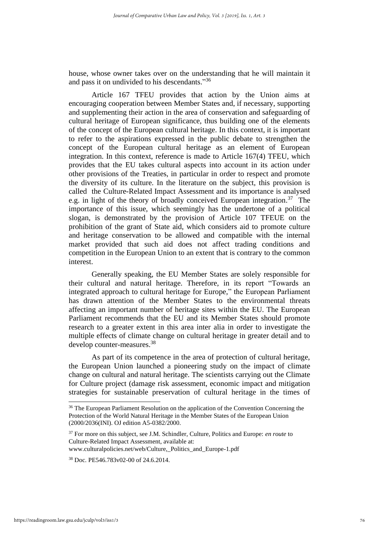house, whose owner takes over on the understanding that he will maintain it and pass it on undivided to his descendants." 36

Article 167 TFEU provides that action by the Union aims at encouraging cooperation between Member States and, if necessary, supporting and supplementing their action in the area of conservation and safeguarding of cultural heritage of European significance, thus building one of the elements of the concept of the European cultural heritage. In this context, it is important to refer to the aspirations expressed in the public debate to strengthen the concept of the European cultural heritage as an element of European integration. In this context, reference is made to Article 167(4) TFEU, which provides that the EU takes cultural aspects into account in its action under other provisions of the Treaties, in particular in order to respect and promote the diversity of its culture. In the literature on the subject, this provision is called the Culture-Related Impact Assessment and its importance is analysed e.g. in light of the theory of broadly conceived European integration.<sup>37</sup> The importance of this issue, which seemingly has the undertone of a political slogan, is demonstrated by the provision of Article 107 TFEUE on the prohibition of the grant of State aid, which considers aid to promote culture and heritage conservation to be allowed and compatible with the internal market provided that such aid does not affect trading conditions and competition in the European Union to an extent that is contrary to the common interest.

Generally speaking, the EU Member States are solely responsible for their cultural and natural heritage. Therefore, in its report "Towards an integrated approach to cultural heritage for Europe," the European Parliament has drawn attention of the Member States to the environmental threats affecting an important number of heritage sites within the EU. The European Parliament recommends that the EU and its Member States should promote research to a greater extent in this area inter alia in order to investigate the multiple effects of climate change on cultural heritage in greater detail and to develop counter-measures. 38

As part of its competence in the area of protection of cultural heritage, the European Union launched a pioneering study on the impact of climate change on cultural and natural heritage. The scientists carrying out the Climate for Culture project (damage risk assessment, economic impact and mitigation strategies for sustainable preservation of cultural heritage in the times of

<sup>&</sup>lt;sup>36</sup> The European Parliament Resolution on the application of the Convention Concerning the Protection of the World Natural Heritage in the Member States of the European Union (2000/2036(INI). OJ edition A5-0382/2000.

<sup>37</sup> For more on this subject, see J.M. Schindler, Culture, Politics and Europe: *en route* to Culture-Related Impact Assessment, available at: www.culturalpolicies.net/web/Culture,\_Politics\_and\_Europe-1.pdf

<sup>38</sup> Doc. PE546.783v02-00 of 24.6.2014.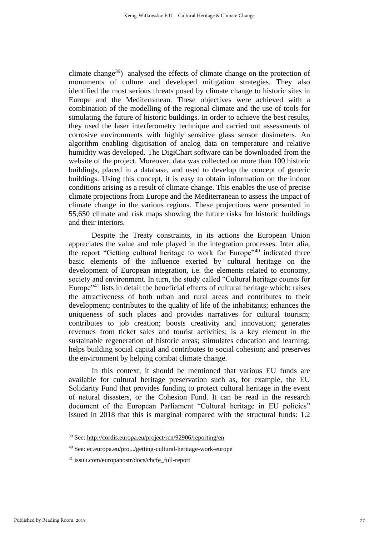climate change<sup>39</sup>) analysed the effects of climate change on the protection of monuments of culture and developed mitigation strategies. They also identified the most serious threats posed by climate change to historic sites in Europe and the Mediterranean. These objectives were achieved with a combination of the modelling of the regional climate and the use of tools for simulating the future of historic buildings. In order to achieve the best results, they used the laser interferometry technique and carried out assessments of corrosive environments with highly sensitive glass sensor dosimeters. An algorithm enabling digitisation of analog data on temperature and relative humidity was developed. The DigiChart software can be downloaded from the website of the project. Moreover, data was collected on more than 100 historic buildings, placed in a database, and used to develop the concept of generic buildings. Using this concept, it is easy to obtain information on the indoor conditions arising as a result of climate change. This enables the use of precise climate projections from Europe and the Mediterranean to assess the impact of climate change in the various regions. These projections were presented in 55,650 climate and risk maps showing the future risks for historic buildings and their interiors.

Despite the Treaty constraints, in its actions the European Union appreciates the value and role played in the integration processes. Inter alia, the report "Getting cultural heritage to work for Europe"<sup>40</sup> indicated three basic elements of the influence exerted by cultural heritage on the development of European integration, i.e. the elements related to economy, society and environment. In turn, the study called "Cultural heritage counts for Europe"<sup>41</sup> lists in detail the beneficial effects of cultural heritage which: raises the attractiveness of both urban and rural areas and contributes to their development; contributes to the quality of life of the inhabitants; enhances the uniqueness of such places and provides narratives for cultural tourism; contributes to job creation; boosts creativity and innovation; generates revenues from ticket sales and tourist activities; is a key element in the sustainable regeneration of historic areas; stimulates education and learning; helps building social capital and contributes to social cohesion; and preserves the environment by helping combat climate change.

In this context, it should be mentioned that various EU funds are available for cultural heritage preservation such as, for example, the EU Solidarity Fund that provides funding to protect cultural heritage in the event of natural disasters, or the Cohesion Fund. It can be read in the research document of the European Parliament "Cultural heritage in EU policies" issued in 2018 that this is marginal compared with the structural funds: 1.2

<sup>39</sup> See[: http://cordis.europa.eu/project/rcn/92906/reporting/en](http://cordis.europa.eu/project/rcn/92906/reporting/en)

<sup>40</sup> See: ec.europa.eu/pro.../getting-cultural-heritage-work-europe

<sup>41</sup> issuu.com/europanostr/docs/chcfe\_full-report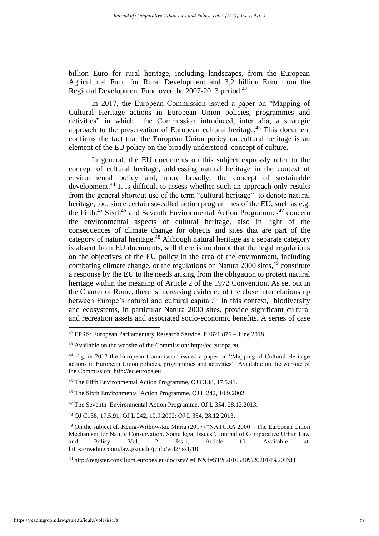billion Euro for rural heritage, including landscapes, from the European Agricultural Fund for Rural Development and 3.2 billion Euro from the Regional Development Fund over the  $2007-2013$  period.<sup>42</sup>

In 2017, the European Commission issued a paper on "Mapping of Cultural Heritage actions in European Union policies, programmes and activities" in which the Commission introduced, inter alia, a strategic approach to the preservation of European cultural heritage.<sup>43</sup> This document confirms the fact that the European Union policy on cultural heritage is an element of the EU policy on the broadly understood concept of culture.

In general, the EU documents on this subject expressly refer to the concept of cultural heritage, addressing natural heritage in the context of environmental policy and, more broadly, the concept of sustainable development. <sup>44</sup> It is difficult to assess whether such an approach only results from the general shortcut use of the term "cultural heritage" to denote natural heritage, too, since certain so-called action programmes of the EU, such as e.g. the Fifth,<sup>45</sup> Sixth<sup>46</sup> and Seventh Environmental Action Programmes<sup>47</sup> concern the environmental aspects of cultural heritage, also in light of the consequences of climate change for objects and sites that are part of the category of natural heritage.<sup>48</sup> Although natural heritage as a separate category is absent from EU documents, still there is no doubt that the legal regulations on the objectives of the EU policy in the area of the environment, including combating climate change, or the regulations on Natura 2000 sites,  $49$  constitute a response by the EU to the needs arising from the obligation to protect natural heritage within the meaning of Article 2 of the 1972 Convention. As set out in the Charter of Rome, there is increasing evidence of the close interrelationship between Europe's natural and cultural capital.<sup>50</sup> In this context, biodiversity and ecosystems, in particular Natura 2000 sites, provide significant cultural and recreation assets and associated socio-economic benefits. A series of case

<sup>46</sup> The Sixth Environmental Action Programme, OJ L 242, 10.9.2002.

<sup>47</sup> The Seventh Environmental Action Programme, OJ L 354, 28.12.2013.

<sup>42</sup> EPRS/ European Parliamentary Research Service, PE621.876 – June 2018.

<sup>43</sup> Available on the website of the Commission: [http://ec.europa.eu](http://ec.europa.eu/) 

<sup>44</sup> E.g. in 2017 the European Commission issued a paper on "Mapping of Cultural Heritage actions in European Union policies, programmes and activities". Available on the website of the Commission[: http://ec.europa.eu](http://ec.europa.eu/)

<sup>45</sup> The Fifth Environmental Action Programme, OJ C138, 17.5.91.

<sup>48</sup> OJ C138, 17.5.91; OJ L 242, 10.9.2002; OJ L 354, 28.12.2013.

<sup>49</sup> On the subject cf. Kenig-Witkowska, Maria (2017) "NATURA 2000 – The European Union Mechanism for Nature Conservation. Some legal Issues", Journal of Comparative Urban Law and Policy: Vol. 2: Iss.1, Article 10. Available at: <https://readingroom.law.gsu.edu/jculp/vol2/iss1/10>

<sup>50</sup> <http://register.consilium.europea.eu/doc/srv?I=EN&f=ST%2016540%202014%20INIT>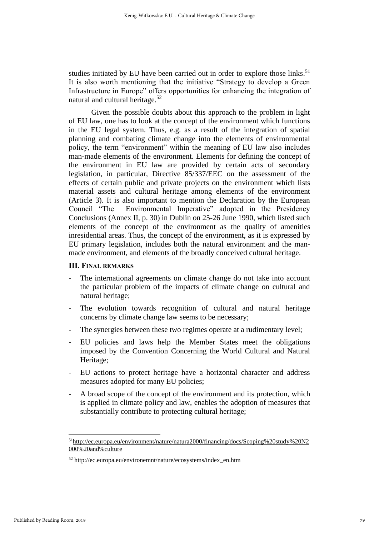studies initiated by EU have been carried out in order to explore those links.<sup>51</sup> It is also worth mentioning that the initiative "Strategy to develop a Green Infrastructure in Europe" offers opportunities for enhancing the integration of natural and cultural heritage. 52

Given the possible doubts about this approach to the problem in light of EU law, one has to look at the concept of the environment which functions in the EU legal system. Thus, e.g. as a result of the integration of spatial planning and combating climate change into the elements of environmental policy, the term "environment" within the meaning of EU law also includes man-made elements of the environment. Elements for defining the concept of the environment in EU law are provided by certain acts of secondary legislation, in particular, Directive 85/337/EEC on the assessment of the effects of certain public and private projects on the environment which lists material assets and cultural heritage among elements of the environment (Article 3). It is also important to mention the Declaration by the European Council "The Environmental Imperative" adopted in the Presidency Conclusions (Annex II, p. 30) in Dublin on 25-26 June 1990, which listed such elements of the concept of the environment as the quality of amenities inresidential areas. Thus, the concept of the environment, as it is expressed by EU primary legislation, includes both the natural environment and the manmade environment, and elements of the broadly conceived cultural heritage.

#### **III. FINAL REMARKS**

- The international agreements on climate change do not take into account the particular problem of the impacts of climate change on cultural and natural heritage;
- The evolution towards recognition of cultural and natural heritage concerns by climate change law seems to be necessary;
- The synergies between these two regimes operate at a rudimentary level;
- EU policies and laws help the Member States meet the obligations imposed by the Convention Concerning the World Cultural and Natural Heritage;
- EU actions to protect heritage have a horizontal character and address measures adopted for many EU policies;
- A broad scope of the concept of the environment and its protection, which is applied in climate policy and law, enables the adoption of measures that substantially contribute to protecting cultural heritage;

<sup>51</sup>[http://ec.europa.eu/environment/nature/natura2000/financing/docs/Scoping%20study%20N2](http://ec.europa.eu/environemnt/nature/natura2000/financing/docs/Scoping%20study%20N2000%20and%25culture) [000%20and%culture](http://ec.europa.eu/environemnt/nature/natura2000/financing/docs/Scoping%20study%20N2000%20and%25culture)

<sup>52</sup> [http://ec.europa.eu/environemnt/nature/ecosystems/index\\_en.htm](http://ec.europa.eu/environemnt/nature/ecosystems/index_en.htm)